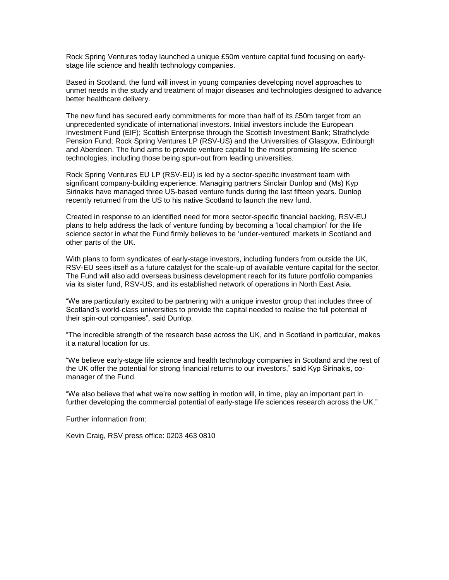Rock Spring Ventures today launched a unique £50m venture capital fund focusing on earlystage life science and health technology companies.

Based in Scotland, the fund will invest in young companies developing novel approaches to unmet needs in the study and treatment of major diseases and technologies designed to advance better healthcare delivery.

The new fund has secured early commitments for more than half of its £50m target from an unprecedented syndicate of international investors. Initial investors include the European Investment Fund (EIF); Scottish Enterprise through the Scottish Investment Bank; Strathclyde Pension Fund; Rock Spring Ventures LP (RSV-US) and the Universities of Glasgow, Edinburgh and Aberdeen. The fund aims to provide venture capital to the most promising life science technologies, including those being spun-out from leading universities.

Rock Spring Ventures EU LP (RSV-EU) is led by a sector-specific investment team with significant company-building experience. Managing partners Sinclair Dunlop and (Ms) Kyp Sirinakis have managed three US-based venture funds during the last fifteen years. Dunlop recently returned from the US to his native Scotland to launch the new fund.

Created in response to an identified need for more sector-specific financial backing, RSV-EU plans to help address the lack of venture funding by becoming a 'local champion' for the life science sector in what the Fund firmly believes to be 'under-ventured' markets in Scotland and other parts of the UK.

With plans to form syndicates of early-stage investors, including funders from outside the UK, RSV-EU sees itself as a future catalyst for the scale-up of available venture capital for the sector. The Fund will also add overseas business development reach for its future portfolio companies via its sister fund, RSV-US, and its established network of operations in North East Asia.

"We are particularly excited to be partnering with a unique investor group that includes three of Scotland's world-class universities to provide the capital needed to realise the full potential of their spin-out companies", said Dunlop.

"The incredible strength of the research base across the UK, and in Scotland in particular, makes it a natural location for us.

"We believe early-stage life science and health technology companies in Scotland and the rest of the UK offer the potential for strong financial returns to our investors," said Kyp Sirinakis, comanager of the Fund.

"We also believe that what we're now setting in motion will, in time, play an important part in further developing the commercial potential of early-stage life sciences research across the UK."

Further information from:

Kevin Craig, RSV press office: 0203 463 0810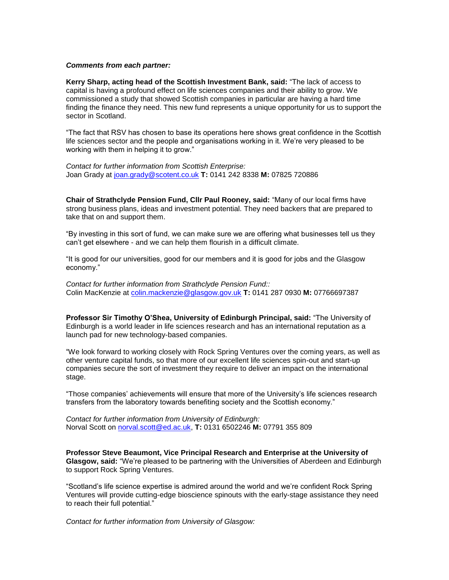## *Comments from each partner:*

**Kerry Sharp, acting head of the Scottish Investment Bank, said:** "The lack of access to capital is having a profound effect on life sciences companies and their ability to grow. We commissioned a study that showed Scottish companies in particular are having a hard time finding the finance they need. This new fund represents a unique opportunity for us to support the sector in Scotland.

"The fact that RSV has chosen to base its operations here shows great confidence in the Scottish life sciences sector and the people and organisations working in it. We're very pleased to be working with them in helping it to grow."

*Contact for further information from Scottish Enterprise:*  Joan Grady at [joan.grady@scotent.co.uk](mailto:joan.grady@scotent.co.uk) **T:** 0141 242 8338 **M:** 07825 720886

**Chair of Strathclyde Pension Fund, Cllr Paul Rooney, said:** "Many of our local firms have strong business plans, ideas and investment potential. They need backers that are prepared to take that on and support them.

"By investing in this sort of fund, we can make sure we are offering what businesses tell us they can't get elsewhere - and we can help them flourish in a difficult climate.

"It is good for our universities, good for our members and it is good for jobs and the Glasgow economy."

*Contact for further information from Strathclyde Pension Fund::* Colin MacKenzie at [colin.mackenzie@glasgow.gov.uk](mailto:colin.mackenzie@glasgow.gov.uk) **T:** 0141 287 0930 **M:** 07766697387

**Professor Sir Timothy O'Shea, University of Edinburgh Principal, said:** "The University of Edinburgh is a world leader in life sciences research and has an international reputation as a launch pad for new technology-based companies.

"We look forward to working closely with Rock Spring Ventures over the coming years, as well as other venture capital funds, so that more of our excellent life sciences spin-out and start-up companies secure the sort of investment they require to deliver an impact on the international stage.

"Those companies' achievements will ensure that more of the University's life sciences research transfers from the laboratory towards benefiting society and the Scottish economy."

*Contact for further information from University of Edinburgh:*  Norval Scott on [norval.scott@ed.ac.uk,](mailto:norval.scott@ed.ac.uk) **T:** 0131 6502246 **M:** 07791 355 809

**Professor Steve Beaumont, Vice Principal Research and Enterprise at the University of Glasgow, said:** "We're pleased to be partnering with the Universities of Aberdeen and Edinburgh to support Rock Spring Ventures.

"Scotland's life science expertise is admired around the world and we're confident Rock Spring Ventures will provide cutting-edge bioscience spinouts with the early-stage assistance they need to reach their full potential."

*Contact for further information from University of Glasgow:*